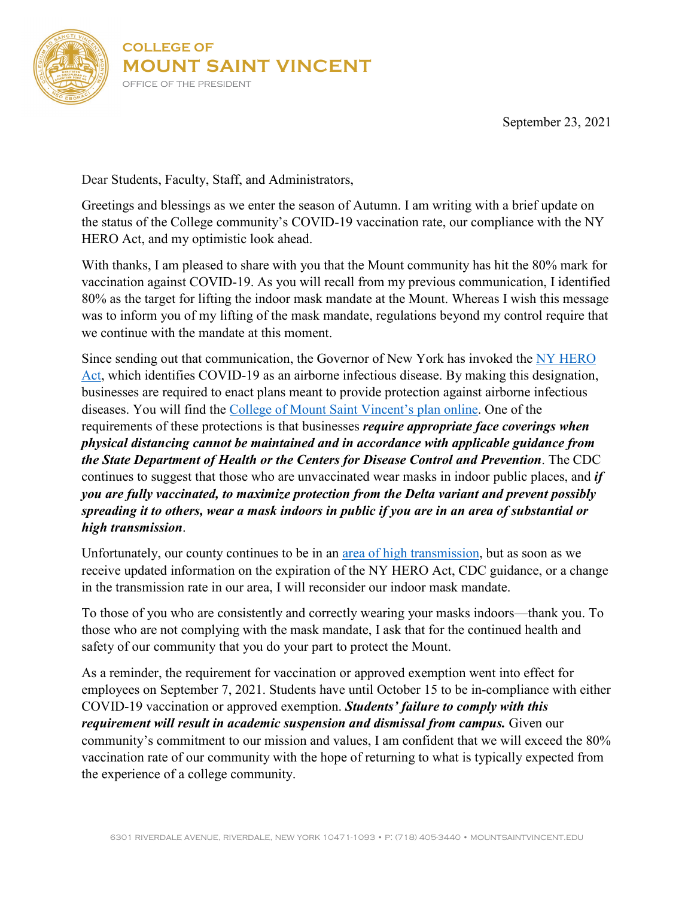

September 23, 2021

Dear Students, Faculty, Staff, and Administrators,

Greetings and blessings as we enter the season of Autumn. I am writing with a brief update on the status of the College community's COVID-19 vaccination rate, our compliance with the NY HERO Act, and my optimistic look ahead.

With thanks, I am pleased to share with you that the Mount community has hit the 80% mark for vaccination against COVID-19. As you will recall from my previous communication, I identified 80% as the target for lifting the indoor mask mandate at the Mount. Whereas I wish this message was to inform you of my lifting of the mask mandate, regulations beyond my control require that we continue with the mandate at this moment.

Since sending out that communication, the Governor of New York has invoked the NY HERO [Act,](https://dol.ny.gov/ny-hero-act) which identifies COVID-19 as an airborne infectious disease. By making this designation, businesses are required to enact plans meant to provide protection against airborne infectious diseases. You will find the [College of Mount Saint Vincent's plan online.](https://mountsaintvincent.edu/covid-19-resources/cmsv-ny-hero-act-plan/) One of the requirements of these protections is that businesses *require appropriate face coverings when physical distancing cannot be maintained and in accordance with applicable guidance from the State Department of Health or the Centers for Disease Control and Prevention*. The CDC continues to suggest that those who are unvaccinated wear masks in indoor public places, and *if you are fully vaccinated, to maximize protection from the Delta variant and prevent possibly spreading it to others, wear a mask indoors in public if you are in an area of substantial or high transmission*.

Unfortunately, our county continues to be in an [area of high transmission,](https://covid.cdc.gov/covid-data-tracker/#county-view|New%20York|36005|Risk|community_transmission_level) but as soon as we receive updated information on the expiration of the NY HERO Act, CDC guidance, or a change in the transmission rate in our area, I will reconsider our indoor mask mandate.

To those of you who are consistently and correctly wearing your masks indoors—thank you. To those who are not complying with the mask mandate, I ask that for the continued health and safety of our community that you do your part to protect the Mount.

As a reminder, the requirement for vaccination or approved exemption went into effect for employees on September 7, 2021. Students have until October 15 to be in-compliance with either COVID-19 vaccination or approved exemption. *Students' failure to comply with this requirement will result in academic suspension and dismissal from campus.* Given our community's commitment to our mission and values, I am confident that we will exceed the 80% vaccination rate of our community with the hope of returning to what is typically expected from the experience of a college community.